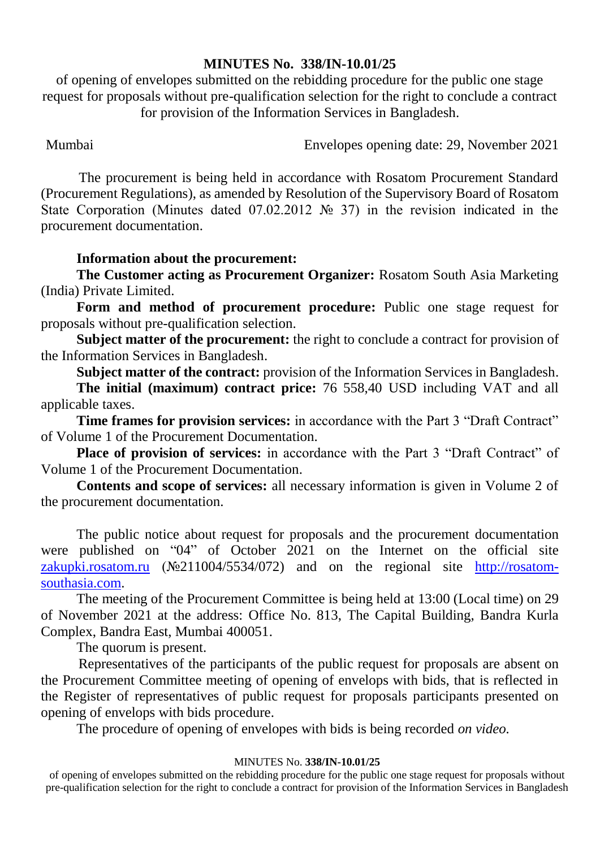### **MINUTES No. 338/IN-10.01/25**

of opening of envelopes submitted on the rebidding procedure for the public one stage request for proposals without pre-qualification selection for the right to conclude a contract for provision of the Information Services in Bangladesh.

Mumbai Envelopes opening date: 29, November 2021

The procurement is being held in accordance with Rosatom Procurement Standard (Procurement Regulations), as amended by Resolution of the Supervisory Board of Rosatom State Corporation (Minutes dated 07.02.2012 № 37) in the revision indicated in the procurement documentation.

## **Information about the procurement:**

**The Customer acting as Procurement Organizer:** Rosatom South Asia Marketing (India) Private Limited.

**Form and method of procurement procedure:** Public one stage request for proposals without pre-qualification selection.

**Subject matter of the procurement:** the right to conclude a contract for provision of the Information Services in Bangladesh.

**Subject matter of the contract:** provision of the Information Services in Bangladesh.

**The initial (maximum) contract price:** 76 558,40 USD including VAT and all applicable taxes.

**Time frames for provision services:** in accordance with the Part 3 "Draft Contract" of Volume 1 of the Procurement Documentation.

**Place of provision of services:** in accordance with the Part 3 "Draft Contract" of Volume 1 of the Procurement Documentation.

**Contents and scope of services:** all necessary information is given in Volume 2 of the procurement documentation.

The public notice about request for proposals and the procurement documentation were published on "04" of October 2021 on the Internet on the official site [zakupki.rosatom.ru](http://zakupki.rosatom.ru/) (№211004/5534/072) and on the regional site http://rosatomsouthasia.com.

The meeting of the Procurement Committee is being held at 13:00 (Local time) on 29 of November 2021 at the address: Office No. 813, The Capital Building, Bandra Kurla Complex, Bandra East, Mumbai 400051.

The quorum is present.

Representatives of the participants of the public request for proposals are absent on the Procurement Committee meeting of opening of envelops with bids, that is reflected in the Register of representatives of public request for proposals participants presented on opening of envelops with bids procedure.

The procedure of opening of envelopes with bids is being recorded *on video.*

### MINUTES No. **338/IN-10.01/25**

of opening of envelopes submitted on the rebidding procedure for the public one stage request for proposals without pre-qualification selection for the right to conclude a contract for provision of the Information Services in Bangladesh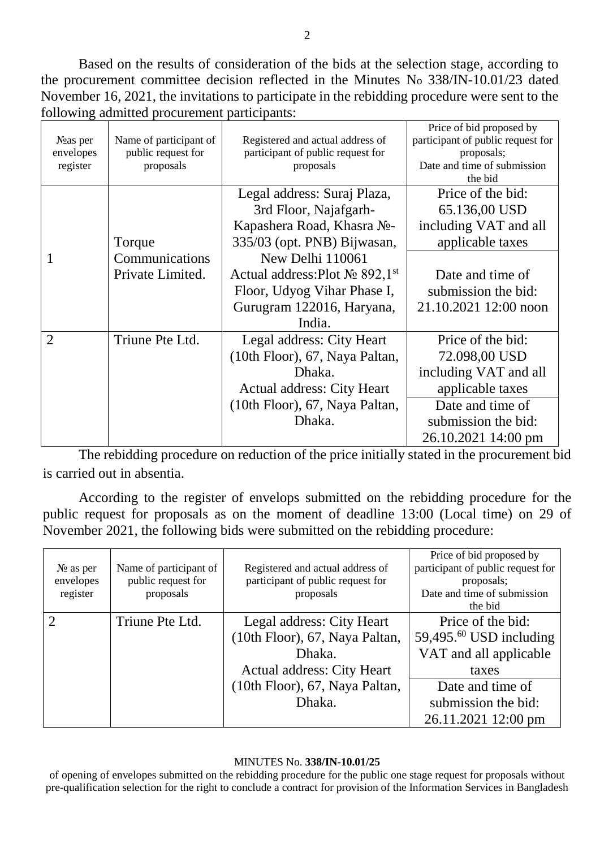Based on the results of consideration of the bids at the selection stage, according to the procurement committee decision reflected in the Minutes No 338/IN-10.01/23 dated November 16, 2021, the invitations to participate in the rebidding procedure were sent to the following admitted procurement participants:

| Noas per<br>envelopes<br>register | Name of participant of<br>public request for<br>proposals | Registered and actual address of<br>participant of public request for<br>proposals | Price of bid proposed by<br>participant of public request for<br>proposals;<br>Date and time of submission<br>the bid |
|-----------------------------------|-----------------------------------------------------------|------------------------------------------------------------------------------------|-----------------------------------------------------------------------------------------------------------------------|
|                                   |                                                           | Legal address: Suraj Plaza,                                                        | Price of the bid:                                                                                                     |
|                                   |                                                           | 3rd Floor, Najafgarh-                                                              | 65.136,00 USD                                                                                                         |
|                                   |                                                           | Kapashera Road, Khasra No-                                                         | including VAT and all                                                                                                 |
|                                   | Torque                                                    | 335/03 (opt. PNB) Bijwasan,                                                        | applicable taxes                                                                                                      |
| 1                                 | Communications                                            | New Delhi 110061                                                                   |                                                                                                                       |
|                                   | Private Limited.                                          | Actual address: Plot $N_2$ 892,1st                                                 | Date and time of                                                                                                      |
|                                   |                                                           | Floor, Udyog Vihar Phase I,                                                        | submission the bid:                                                                                                   |
|                                   |                                                           | Gurugram 122016, Haryana,                                                          | 21.10.2021 12:00 noon                                                                                                 |
|                                   |                                                           | India.                                                                             |                                                                                                                       |
| $\overline{2}$                    | Triune Pte Ltd.                                           | Legal address: City Heart                                                          | Price of the bid:                                                                                                     |
|                                   |                                                           | (10th Floor), 67, Naya Paltan,                                                     | 72.098,00 USD                                                                                                         |
|                                   |                                                           | Dhaka.                                                                             | including VAT and all                                                                                                 |
|                                   |                                                           | <b>Actual address: City Heart</b>                                                  | applicable taxes                                                                                                      |
|                                   |                                                           | (10th Floor), 67, Naya Paltan,                                                     | Date and time of                                                                                                      |
|                                   |                                                           | Dhaka.                                                                             | submission the bid:                                                                                                   |
|                                   |                                                           |                                                                                    | 26.10.2021 14:00 pm                                                                                                   |

The rebidding procedure on reduction of the price initially stated in the procurement bid is carried out in absentia.

According to the register of envelops submitted on the rebidding procedure for the public request for proposals as on the moment of deadline 13:00 (Local time) on 29 of November 2021, the following bids were submitted on the rebidding procedure:

| $N_2$ as per<br>envelopes<br>register | Name of participant of<br>public request for<br>proposals | Registered and actual address of<br>participant of public request for<br>proposals                  | Price of bid proposed by<br>participant of public request for<br>proposals;<br>Date and time of submission<br>the bid |
|---------------------------------------|-----------------------------------------------------------|-----------------------------------------------------------------------------------------------------|-----------------------------------------------------------------------------------------------------------------------|
| $\overline{2}$                        | Triune Pte Ltd.                                           | Legal address: City Heart<br>(10th Floor), 67, Naya Paltan,<br>Dhaka.<br>Actual address: City Heart | Price of the bid:<br>59,495. $^{60}$ USD including<br>VAT and all applicable<br>taxes                                 |
|                                       |                                                           | (10th Floor), 67, Naya Paltan,<br>Dhaka.                                                            | Date and time of<br>submission the bid:<br>26.11.2021 12:00 pm                                                        |

#### MINUTES No. **338/IN-10.01/25**

of opening of envelopes submitted on the rebidding procedure for the public one stage request for proposals without pre-qualification selection for the right to conclude a contract for provision of the Information Services in Bangladesh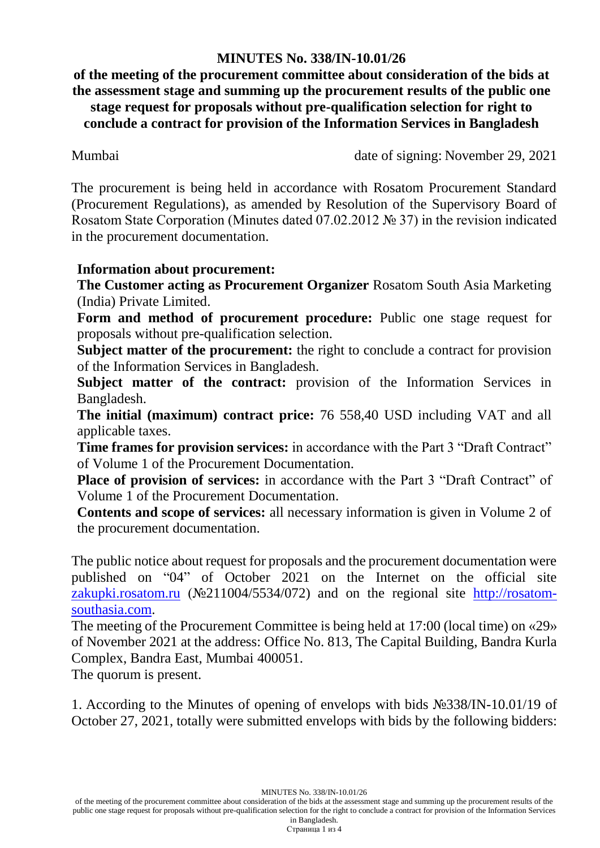## **MINUTES No. 338/IN-10.01/26**

**of the meeting of the procurement committee about consideration of the bids at the assessment stage and summing up the procurement results of the public one stage request for proposals without pre-qualification selection for right to conclude a contract for provision of the Information Services in Bangladesh**

Mumbai date of signing: November 29, 2021

The procurement is being held in accordance with Rosatom Procurement Standard (Procurement Regulations), as amended by Resolution of the Supervisory Board of Rosatom State Corporation (Minutes dated 07.02.2012 № 37) in the revision indicated in the procurement documentation.

# **Information about procurement:**

**The Customer acting as Procurement Organizer** Rosatom South Asia Marketing (India) Private Limited.

**Form and method of procurement procedure:** Public one stage request for proposals without pre-qualification selection.

**Subject matter of the procurement:** the right to conclude a contract for provision of the Information Services in Bangladesh.

**Subject matter of the contract:** provision of the Information Services in Bangladesh.

**The initial (maximum) contract price:** 76 558,40 USD including VAT and all applicable taxes.

**Time frames for provision services:** in accordance with the Part 3 "Draft Contract" of Volume 1 of the Procurement Documentation.

**Place of provision of services:** in accordance with the Part 3 "Draft Contract" of Volume 1 of the Procurement Documentation.

**Contents and scope of services:** all necessary information is given in Volume 2 of the procurement documentation.

The public notice about request for proposals and the procurement documentation were published on "04" of October 2021 on the Internet on the official site [zakupki.rosatom.ru](http://zakupki.rosatom.ru/) (№211004/5534/072) and on the regional site http://rosatomsouthasia.com.

The meeting of the Procurement Committee is being held at 17:00 (local time) on «29» of November 2021 at the address: Office No. 813, The Capital Building, Bandra Kurla Complex, Bandra East, Mumbai 400051.

The quorum is present.

1. According to the Minutes of opening of envelops with bids №338/IN-10.01/19 of October 27, 2021, totally were submitted envelops with bids by the following bidders:

Страница 1 из 4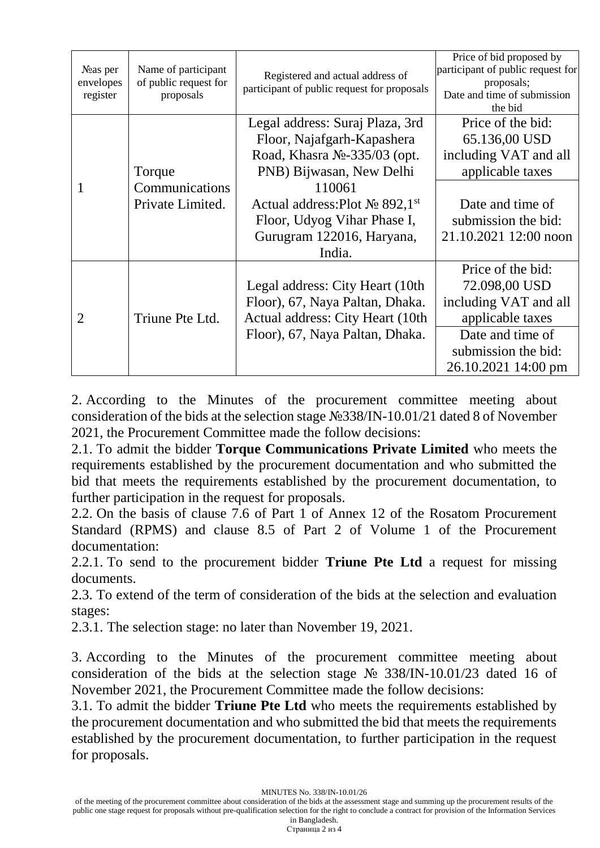| $N2$ as per<br>envelopes<br>register | Name of participant<br>of public request for<br>proposals | Registered and actual address of<br>participant of public request for proposals                                                                                                                                                                 | Price of bid proposed by<br>participant of public request for<br>proposals;<br>Date and time of submission<br>the bid                               |
|--------------------------------------|-----------------------------------------------------------|-------------------------------------------------------------------------------------------------------------------------------------------------------------------------------------------------------------------------------------------------|-----------------------------------------------------------------------------------------------------------------------------------------------------|
| 1                                    | Torque<br>Communications<br>Private Limited.              | Legal address: Suraj Plaza, 3rd<br>Floor, Najafgarh-Kapashera<br>Road, Khasra No-335/03 (opt.<br>PNB) Bijwasan, New Delhi<br>110061<br>Actual address: Plot $N_2$ 892,1st<br>Floor, Udyog Vihar Phase I,<br>Gurugram 122016, Haryana,<br>India. | Price of the bid:<br>65.136,00 USD<br>including VAT and all<br>applicable taxes<br>Date and time of<br>submission the bid:<br>21.10.2021 12:00 noon |
| $\overline{2}$                       | Triune Pte Ltd.                                           | Legal address: City Heart (10th)<br>Floor), 67, Naya Paltan, Dhaka.<br>Actual address: City Heart (10th)<br>Floor), 67, Naya Paltan, Dhaka.                                                                                                     | Price of the bid:<br>72.098,00 USD<br>including VAT and all<br>applicable taxes<br>Date and time of<br>submission the bid:<br>26.10.2021 14:00 pm   |

2. According to the Minutes of the procurement committee meeting about consideration of the bids at the selection stage №338/IN-10.01/21 dated 8 of November 2021, the Procurement Committee made the follow decisions:

2.1. To admit the bidder **Torque Communications Private Limited** who meets the requirements established by the procurement documentation and who submitted the bid that meets the requirements established by the procurement documentation, to further participation in the request for proposals.

2.2. On the basis of clause 7.6 of Part 1 of Annex 12 of the Rosatom Procurement Standard (RPMS) and clause 8.5 of Part 2 of Volume 1 of the Procurement documentation:

2.2.1. To send to the procurement bidder **Triune Pte Ltd** a request for missing documents.

2.3. To extend of the term of consideration of the bids at the selection and evaluation stages:

2.3.1. The selection stage: no later than November 19, 2021.

3. According to the Minutes of the procurement committee meeting about consideration of the bids at the selection stage № 338/IN-10.01/23 dated 16 of November 2021, the Procurement Committee made the follow decisions:

3.1. To admit the bidder **Triune Pte Ltd** who meets the requirements established by the procurement documentation and who submitted the bid that meets the requirements established by the procurement documentation, to further participation in the request for proposals.

MINUTES No. 338/IN-10.01/26

Страница 2 из 4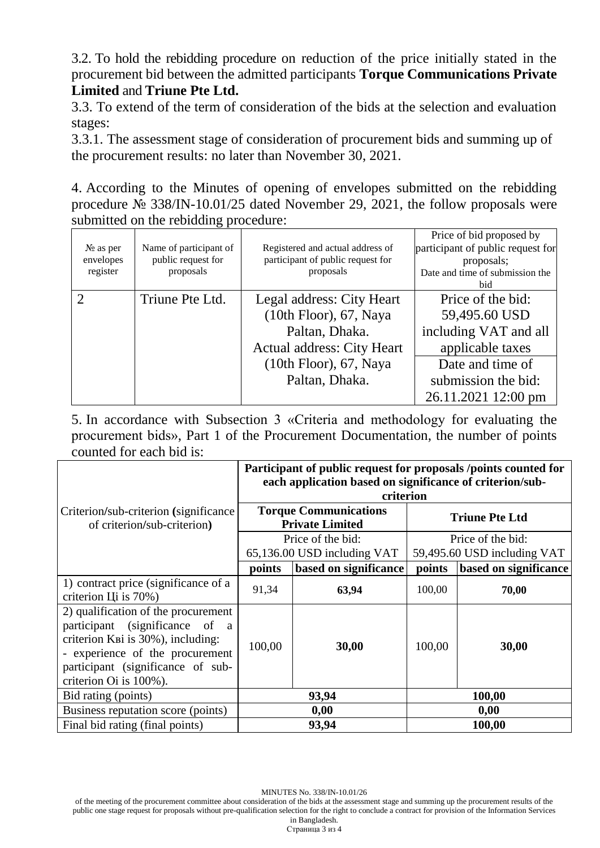3.2. To hold the rebidding procedure on reduction of the price initially stated in the procurement bid between the admitted participants **Torque Communications Private Limited** and **Triune Pte Ltd.**

3.3. To extend of the term of consideration of the bids at the selection and evaluation stages:

3.3.1. The assessment stage of consideration of procurement bids and summing up of the procurement results: no later than November 30, 2021.

4. According to the Minutes of opening of envelopes submitted on the rebidding procedure № 338/IN-10.01/25 dated November 29, 2021, the follow proposals were submitted on the rebidding procedure:

| $N_2$ as per<br>envelopes<br>register | Name of participant of<br>public request for<br>proposals | Registered and actual address of<br>participant of public request for<br>proposals | Price of bid proposed by<br>participant of public request for<br>proposals;<br>Date and time of submission the<br><b>bid</b> |
|---------------------------------------|-----------------------------------------------------------|------------------------------------------------------------------------------------|------------------------------------------------------------------------------------------------------------------------------|
|                                       | Triune Pte Ltd.                                           | Legal address: City Heart<br>$(10th$ Floor), 67, Naya<br>Paltan, Dhaka.            | Price of the bid:<br>59,495.60 USD<br>including VAT and all                                                                  |
|                                       |                                                           | Actual address: City Heart                                                         | applicable taxes                                                                                                             |
|                                       |                                                           | $(10th$ Floor), 67, Naya                                                           | Date and time of                                                                                                             |
|                                       |                                                           | Paltan, Dhaka.                                                                     | submission the bid:                                                                                                          |
|                                       |                                                           |                                                                                    | 26.11.2021 12:00 pm                                                                                                          |

5. In accordance with Subsection 3 «Criteria and methodology for evaluating the procurement bids», Part 1 of the Procurement Documentation, the number of points counted for each bid is:

|                                                                                                                                                                                                               | Participant of public request for proposals /points counted for<br>each application based on significance of criterion/sub-<br>criterion |                             |                       |                             |
|---------------------------------------------------------------------------------------------------------------------------------------------------------------------------------------------------------------|------------------------------------------------------------------------------------------------------------------------------------------|-----------------------------|-----------------------|-----------------------------|
| Criterion/sub-criterion (significance)<br>of criterion/sub-criterion)                                                                                                                                         | <b>Torque Communications</b><br><b>Private Limited</b>                                                                                   |                             | <b>Triune Pte Ltd</b> |                             |
|                                                                                                                                                                                                               |                                                                                                                                          | Price of the bid:           |                       | Price of the bid:           |
|                                                                                                                                                                                                               |                                                                                                                                          | 65,136.00 USD including VAT |                       | 59,495.60 USD including VAT |
|                                                                                                                                                                                                               | points                                                                                                                                   | based on significance       | points                | based on significance       |
| 1) contract price (significance of a<br>criterion Li is 70%)                                                                                                                                                  | 91,34                                                                                                                                    | 63,94                       | 100,00                | 70,00                       |
| 2) qualification of the procurement<br>participant (significance of a<br>criterion K ві із 30%), including:<br>- experience of the procurement<br>participant (significance of sub-<br>criterion Oi is 100%). | 100,00                                                                                                                                   | 30,00                       | 100,00                | 30,00                       |
| Bid rating (points)                                                                                                                                                                                           |                                                                                                                                          | 93,94                       |                       | 100,00                      |
| Business reputation score (points)                                                                                                                                                                            |                                                                                                                                          | 0,00                        |                       | 0,00                        |
| Final bid rating (final points)                                                                                                                                                                               |                                                                                                                                          | 93,94                       |                       | 100,00                      |

MINUTES No. 338/IN-10.01/26

of the meeting of the procurement committee about consideration of the bids at the assessment stage and summing up the procurement results of the public one stage request for proposals without pre-qualification selection for the right to conclude a contract for provision of the Information Services in Bangladesh.

Страница 3 из 4